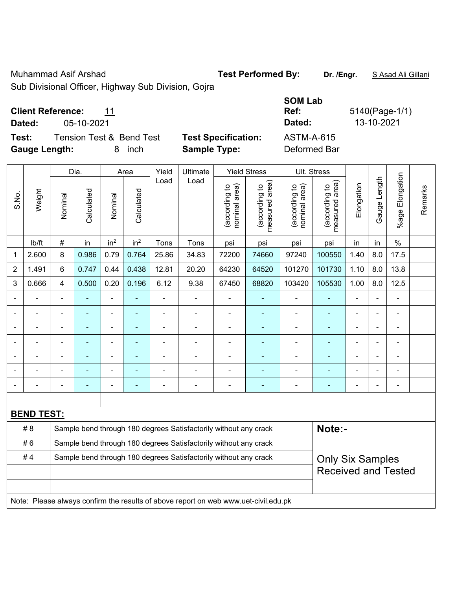Muhammad Asif Arshad **Test Performed By: Dr. /Engr.** S Asad Ali Gillani

Sub Divisional Officer, Highway Sub Division, Gojra

### **Client Reference:** 11

**Test:** Tension Test & Bend Test **Test Specification:** ASTM-A-615 **Gauge Length:** 8 inch **Sample Type:** Deformed Bar

|       |                   |                                                | Dia.  |                              | Area                           | Yield                           | Ultimate                                                                            |                                             | <b>Yield Stress</b> |                | Ult. Stress                |                |                |                |  |
|-------|-------------------|------------------------------------------------|-------|------------------------------|--------------------------------|---------------------------------|-------------------------------------------------------------------------------------|---------------------------------------------|---------------------|----------------|----------------------------|----------------|----------------|----------------|--|
| S.No. | Weight            | Calculated<br>Calculated<br>Nominal<br>Nominal | Load  | Load                         | nominal area)<br>(according to | (according to<br>measured area) | (according to<br>nominal area)                                                      | (according to<br>neasured area)<br>measured | Elongation          | Gauge Length   | Elongation<br>$%$ age      | Remarks        |                |                |  |
|       | lb/ft             | $\#$                                           | in    | in <sup>2</sup>              | in <sup>2</sup>                | Tons                            | Tons                                                                                | psi                                         | psi                 | psi            | psi                        | in             | in             | $\%$           |  |
| 1     | 2.600             | 8                                              | 0.986 | 0.79                         | 0.764                          | 25.86                           | 34.83                                                                               | 72200                                       | 74660               | 97240          | 100550                     | 1.40           | 8.0            | 17.5           |  |
| 2     | 1.491             | 6                                              | 0.747 | 0.44                         | 0.438                          | 12.81                           | 20.20                                                                               | 64230                                       | 64520               | 101270         | 101730                     | 1.10           | 8.0            | 13.8           |  |
| 3     | 0.666             | $\overline{4}$                                 | 0.500 | 0.20                         | 0.196                          | 6.12                            | 9.38                                                                                | 67450                                       | 68820               | 103420         | 105530                     | 1.00           | 8.0            | 12.5           |  |
|       |                   | ä,                                             |       | ÷,                           |                                | ÷,                              | ÷                                                                                   |                                             | ÷                   | $\blacksquare$ | ۰                          |                |                |                |  |
|       |                   |                                                |       | -                            |                                |                                 | $\blacksquare$                                                                      | $\blacksquare$                              |                     | $\blacksquare$ | ۰                          |                |                |                |  |
|       |                   |                                                |       | -                            |                                |                                 |                                                                                     |                                             |                     |                |                            |                |                |                |  |
|       |                   | $\blacksquare$                                 | ۰     | ÷,                           |                                | $\blacksquare$                  | $\blacksquare$                                                                      | $\blacksquare$                              | ۰                   | $\blacksquare$ | ۰                          | $\blacksquare$ | $\blacksquare$ | $\blacksquare$ |  |
|       | ä,                | $\blacksquare$                                 | L,    | $\qquad \qquad \blacksquare$ | ÷                              | $\blacksquare$                  | ÷,                                                                                  | ä,                                          | ۰                   | $\blacksquare$ | Ξ                          | $\blacksquare$ | $\blacksquare$ | ÷,             |  |
|       |                   | $\blacksquare$                                 |       | $\overline{\phantom{a}}$     |                                | ÷                               | ÷                                                                                   | $\blacksquare$                              |                     | Ē,             | ÷                          | ä,             |                | ÷              |  |
|       |                   | $\blacksquare$                                 | ۰     | ÷,                           | $\overline{a}$                 | $\blacksquare$                  | ÷                                                                                   | $\blacksquare$                              | ۰                   | $\blacksquare$ | ÷                          | $\blacksquare$ |                | $\blacksquare$ |  |
|       |                   |                                                |       |                              |                                |                                 |                                                                                     |                                             |                     |                |                            |                |                |                |  |
|       | <b>BEND TEST:</b> |                                                |       |                              |                                |                                 |                                                                                     |                                             |                     |                |                            |                |                |                |  |
|       | #8                |                                                |       |                              |                                |                                 | Sample bend through 180 degrees Satisfactorily without any crack                    |                                             |                     |                | Note:-                     |                |                |                |  |
|       | #6                |                                                |       |                              |                                |                                 | Sample bend through 180 degrees Satisfactorily without any crack                    |                                             |                     |                |                            |                |                |                |  |
|       | #4                |                                                |       |                              |                                |                                 | Sample bend through 180 degrees Satisfactorily without any crack                    |                                             |                     |                | <b>Only Six Samples</b>    |                |                |                |  |
|       |                   |                                                |       |                              |                                |                                 |                                                                                     |                                             |                     |                | <b>Received and Tested</b> |                |                |                |  |
|       |                   |                                                |       |                              |                                |                                 |                                                                                     |                                             |                     |                |                            |                |                |                |  |
|       |                   |                                                |       |                              |                                |                                 | Note: Please always confirm the results of above report on web www.uet-civil.edu.pk |                                             |                     |                |                            |                |                |                |  |

# **SOM Lab Ref:** 5140(Page-1/1) **Dated:** 05-10-2021 **Dated:** 13-10-2021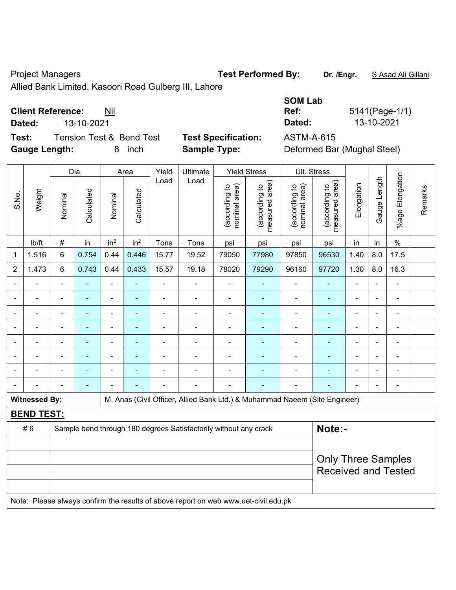Project Managers **Test Performed By:** Dr. /Engr. **SAsad Ali Gillani** Collection Art Ali Gillani

Allied Bank Limited, Kasoori Road Gulberg III, Lahore

## **Client Reference:** Nil

**Dated:** 13-10-2021 **Dated:** 13-10-2021

**Test:** Tension Test & Bend Test **Test Specification:** ASTM-A-615 **Gauge Length:** 8 inch **Sample Type:** Deformed Bar (Mughal Steel)

| <b>SOM Lab</b>           |                |
|--------------------------|----------------|
| Ref:                     | 5141(Page-1/1) |
| Dated:                   | 13-10-2021     |
| 8 <del>0 T</del> M & OAF |                |

|                |                      |                | Dia.           |                 | Area            | Yield                    | Ultimate                                                                            |                                | <b>Yield Stress</b>             |                                | Ult. Stress                                             |                |                |                          |         |
|----------------|----------------------|----------------|----------------|-----------------|-----------------|--------------------------|-------------------------------------------------------------------------------------|--------------------------------|---------------------------------|--------------------------------|---------------------------------------------------------|----------------|----------------|--------------------------|---------|
| S.No.          | Weight               | Nominal        | Calculated     | Nominal         | Calculated      | Load                     | Load                                                                                | nominal area)<br>(according to | (according to<br>measured area) | (according to<br>nominal area) | (according to<br>measured area)                         | Elongation     | Gauge Length   | %age Elongation          | Remarks |
|                | lb/ft                | $\#$           | in             | in <sup>2</sup> | in <sup>2</sup> | Tons                     | Tons                                                                                | psi                            | psi                             | psi                            | psi                                                     | in             | in             | $\%$                     |         |
| 1              | 1.516                | $6\phantom{a}$ | 0.754          | 0.44            | 0.446           | 15.77                    | 19.52                                                                               | 79050                          | 77980                           | 97850                          | 96530                                                   | 1.40           | 8.0            | 17.5                     |         |
| $\overline{2}$ | 1.473                | 6              | 0.743          | 0.44            | 0.433           | 15.57                    | 19.18                                                                               | 78020                          | 79290                           | 96160                          | 97720                                                   | 1.30           | 8.0            | 16.3                     |         |
|                | ä,                   | $\blacksquare$ | $\blacksquare$ | $\blacksquare$  | ä,              | $\overline{\phantom{0}}$ | ÷,                                                                                  | $\blacksquare$                 | $\blacksquare$                  | $\blacksquare$                 | $\blacksquare$                                          | L,             | ä,             | ÷,                       |         |
|                |                      |                | $\blacksquare$ | ÷               |                 | ÷                        | ÷                                                                                   | $\blacksquare$                 |                                 | ÷                              | Ē,                                                      |                |                | $\blacksquare$           |         |
|                |                      |                |                | -               |                 | $\blacksquare$           | ÷                                                                                   | $\blacksquare$                 |                                 | ÷                              | Ē,                                                      | -              | Ē,             | $\blacksquare$           |         |
|                |                      |                |                | ÷               |                 |                          | $\blacksquare$                                                                      | $\blacksquare$                 |                                 |                                |                                                         |                |                | $\blacksquare$           |         |
|                |                      | $\blacksquare$ | $\blacksquare$ | $\blacksquare$  |                 | $\blacksquare$           | $\blacksquare$                                                                      | $\blacksquare$                 |                                 | ۰                              | ٠                                                       | $\blacksquare$ | $\blacksquare$ | $\blacksquare$           |         |
|                |                      | ۰              | $\blacksquare$ | $\blacksquare$  |                 | $\blacksquare$           | $\blacksquare$                                                                      | $\blacksquare$                 | ٠                               | ÷                              | $\blacksquare$                                          | ä,             | $\blacksquare$ | $\blacksquare$           |         |
|                |                      |                | $\blacksquare$ | $\overline{a}$  |                 | $\blacksquare$           | $\overline{a}$                                                                      | $\blacksquare$                 |                                 | -                              | ٠                                                       | $\blacksquare$ | ٠              | $\overline{\phantom{0}}$ |         |
|                |                      |                | ÷              |                 |                 | $\blacksquare$           | ÷                                                                                   | $\blacksquare$                 |                                 | ۰                              | Ē.                                                      |                |                | $\blacksquare$           |         |
|                | <b>Witnessed By:</b> |                |                |                 |                 |                          | M. Anas (Civil Officer, Allied Bank Ltd.) & Muhammad Naeem (Site Engineer)          |                                |                                 |                                |                                                         |                |                |                          |         |
|                | <b>BEND TEST:</b>    |                |                |                 |                 |                          |                                                                                     |                                |                                 |                                |                                                         |                |                |                          |         |
|                | #6                   |                |                |                 |                 |                          | Sample bend through 180 degrees Satisfactorily without any crack                    |                                |                                 |                                | Note:-                                                  |                |                |                          |         |
|                |                      |                |                |                 |                 |                          |                                                                                     |                                |                                 |                                |                                                         |                |                |                          |         |
|                |                      |                |                |                 |                 |                          |                                                                                     |                                |                                 |                                | <b>Only Three Samples</b><br><b>Received and Tested</b> |                |                |                          |         |
|                |                      |                |                |                 |                 |                          |                                                                                     |                                |                                 |                                |                                                         |                |                |                          |         |
|                |                      |                |                |                 |                 |                          | Note: Please always confirm the results of above report on web www.uet-civil.edu.pk |                                |                                 |                                |                                                         |                |                |                          |         |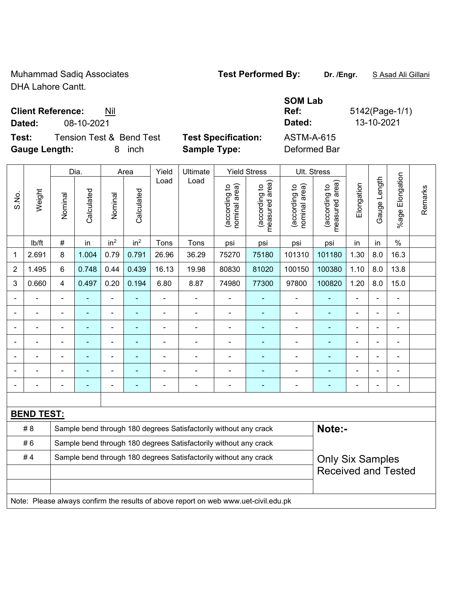Muhammad Sadiq Associates **Test Performed By:** Dr. /Engr. **SAsad Ali Gillani** DHA Lahore Cantt.

### **Client Reference:** Nil

**Dated:** 08-10-2021 **Dated:** 13-10-2021

**Test:** Tension Test & Bend Test **Test Specification:** ASTM-A-615 **Gauge Length:** 8 inch **Sample Type:** Deformed Bar

**Ref:** 5142(Page-1/1)

**SOM Lab** 

|                              |                   |                | Dia.           |                 | Area            | Yield                    | Ultimate                                                         |                                | <b>Yield Stress</b>             | Ult. Stress                    |                                 |                |              |                       |         |
|------------------------------|-------------------|----------------|----------------|-----------------|-----------------|--------------------------|------------------------------------------------------------------|--------------------------------|---------------------------------|--------------------------------|---------------------------------|----------------|--------------|-----------------------|---------|
| S.No.                        | Weight            | Nominal        | Calculated     | Nominal         | Calculated      | Load                     | Load                                                             | nominal area)<br>(according to | measured area)<br>(according to | (according to<br>nominal area) | measured area)<br>(according to | Elongation     | Gauge Length | Elongation<br>$%$ age | Remarks |
|                              | lb/ft             | $\#$           | in             | in <sup>2</sup> | in <sup>2</sup> | Tons                     | Tons                                                             | psi                            | psi                             | psi                            | psi                             | in             | in           | $\%$                  |         |
| 1                            | 2.691             | 8              | 1.004          | 0.79            | 0.791           | 26.96                    | 36.29                                                            | 75270                          | 75180                           | 101310                         | 101180                          | 1.30           | 8.0          | 16.3                  |         |
| $\overline{2}$               | 1.495             | $6\phantom{a}$ | 0.748          | 0.44            | 0.439           | 16.13                    | 19.98                                                            | 80830                          | 81020                           | 100150                         | 100380                          | 1.10           | 8.0          | 13.8                  |         |
| 3                            | 0.660             | $\overline{4}$ | 0.497          | 0.20            | 0.194           | 6.80                     | 8.87                                                             | 74980                          | 77300                           | 97800                          | 100820                          | 1.20           | 8.0          | 15.0                  |         |
| $\qquad \qquad \blacksquare$ |                   | ä,             |                | ÷,              | ٠               | $\overline{\phantom{a}}$ |                                                                  | $\blacksquare$                 |                                 |                                |                                 | $\blacksquare$ |              | ÷                     |         |
| $\blacksquare$               | $\blacksquare$    |                | $\blacksquare$ | $\blacksquare$  | $\blacksquare$  | $\blacksquare$           |                                                                  | ä,                             |                                 | $\blacksquare$                 |                                 | ٠              |              | ÷,                    |         |
|                              |                   |                |                |                 |                 |                          |                                                                  |                                |                                 |                                |                                 |                |              |                       |         |
| $\blacksquare$               |                   |                | $\blacksquare$ |                 |                 |                          |                                                                  |                                |                                 |                                |                                 |                |              |                       |         |
|                              |                   |                |                |                 |                 |                          |                                                                  |                                |                                 |                                |                                 |                |              |                       |         |
|                              |                   |                |                |                 |                 |                          |                                                                  |                                |                                 |                                |                                 |                |              |                       |         |
|                              |                   |                |                |                 |                 |                          |                                                                  |                                |                                 |                                |                                 |                |              | -                     |         |
|                              |                   |                |                |                 |                 |                          |                                                                  |                                |                                 |                                |                                 |                |              |                       |         |
|                              | <b>BEND TEST:</b> |                |                |                 |                 |                          |                                                                  |                                |                                 |                                |                                 |                |              |                       |         |
|                              | # 8               |                |                |                 |                 |                          | Sample bend through 180 degrees Satisfactorily without any crack |                                |                                 |                                | Note:-                          |                |              |                       |         |
|                              | #6                |                |                |                 |                 |                          | Sample bend through 180 degrees Satisfactorily without any crack |                                |                                 |                                |                                 |                |              |                       |         |
|                              | #4                |                |                |                 |                 |                          | Sample bend through 180 degrees Satisfactorily without any crack |                                |                                 |                                | <b>Only Six Samples</b>         |                |              |                       |         |
|                              |                   |                |                |                 |                 |                          | <b>Received and Tested</b>                                       |                                |                                 |                                |                                 |                |              |                       |         |

Note: Please always confirm the results of above report on web www.uet-civil.edu.pk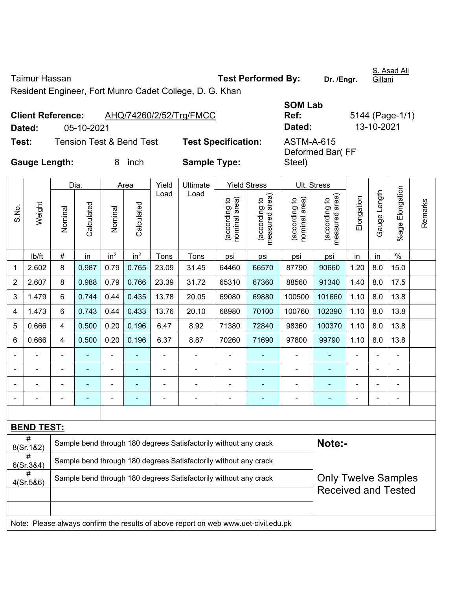Taimur Hassan **Test Performed By: Dr. /Engr.** 

S. Asad Ali Gillani

Resident Engineer, Fort Munro Cadet College, D. G. Khan

|        | <b>Client Reference:</b> | AHQ/74260/2/52/Trg/FMCC             |                           |
|--------|--------------------------|-------------------------------------|---------------------------|
| Dated: | 05-10-2021               |                                     |                           |
| Test:  |                          | <b>Tension Test &amp; Bend Test</b> | <b>Test Specification</b> |

**SOM Lab Dated:** 05-10-2021 **Dated:** 13-10-2021 **Test:** Tension Test & Bend Test **Test Specification:** ASTM-A-615

Deformed Bar( FF

Steel)

**Ref:** 5144 (Page-1/1)

**Gauge Length:** 8 inch **Sample Type:** 

|                |                             |                                                | Dia.           | Area                     |                                | Yield                           | Ultimate<br>Load                                                                    | <b>Yield Stress</b>             |                | Ult. Stress    |                            |                          |                |                              |  |
|----------------|-----------------------------|------------------------------------------------|----------------|--------------------------|--------------------------------|---------------------------------|-------------------------------------------------------------------------------------|---------------------------------|----------------|----------------|----------------------------|--------------------------|----------------|------------------------------|--|
| S.No.          | Weight                      | Calculated<br>Calculated<br>Nominal<br>Nominal | Load           |                          | nominal area)<br>(according to | measured area)<br>(according to | nominal area)<br>(according to                                                      | (according to<br>measured area) | Elongation     | Gauge Length   | %age Elongation            | Remarks                  |                |                              |  |
|                | lb/ft                       | $\#$                                           | in             | in <sup>2</sup>          | in <sup>2</sup>                | Tons                            | Tons                                                                                | psi                             | psi            | psi            | psi                        | in                       | in             | $\%$                         |  |
| 1              | 2.602                       | 8                                              | 0.987          | 0.79                     | 0.765                          | 23.09                           | 31.45                                                                               | 64460                           | 66570          | 87790          | 90660                      | 1.20                     | 8.0            | 15.0                         |  |
| $\overline{2}$ | 2.607                       | 8                                              | 0.988          | 0.79                     | 0.766                          | 23.39                           | 31.72                                                                               | 65310                           | 67360          | 88560          | 91340                      | 1.40                     | 8.0            | 17.5                         |  |
| 3              | 1.479                       | 6                                              | 0.744          | 0.44                     | 0.435                          | 13.78                           | 20.05                                                                               | 69080                           | 69880          | 100500         | 101660                     | 1.10                     | 8.0            | 13.8                         |  |
| 4              | 1.473                       | 6                                              | 0.743          | 0.44                     | 0.433                          | 13.76                           | 20.10                                                                               | 68980                           | 70100          | 100760         | 102390                     | 1.10                     | 8.0            | 13.8                         |  |
| 5              | 0.666                       | $\overline{4}$                                 | 0.500          | 0.20                     | 0.196                          | 6.47                            | 8.92                                                                                | 71380                           | 72840          | 98360          | 100370                     | 1.10                     | 8.0            | 13.8                         |  |
| 6              | 0.666                       | $\overline{4}$                                 | 0.500          | 0.20                     | 0.196                          | 6.37                            | 8.87                                                                                | 70260                           | 71690          | 97800          | 99790                      | 1.10                     | 8.0            | 13.8                         |  |
|                |                             | ä,                                             | $\blacksquare$ | ÷,                       |                                | L,                              | ÷,                                                                                  | L,                              |                | $\blacksquare$ | ÷                          | $\blacksquare$           |                | ÷,                           |  |
|                | $\blacksquare$              | $\blacksquare$                                 | $\blacksquare$ | $\overline{\phantom{0}}$ | $\blacksquare$                 | ä,                              | ÷                                                                                   | $\blacksquare$                  | $\blacksquare$ | $\blacksquare$ | ÷                          | $\overline{\phantom{a}}$ | $\blacksquare$ | $\qquad \qquad \blacksquare$ |  |
|                |                             |                                                | $\blacksquare$ | ÷,                       | ۰                              | ä,                              | $\blacksquare$                                                                      | L,                              | ä,             | $\blacksquare$ | ÷                          | $\blacksquare$           |                | ÷,                           |  |
|                |                             | $\overline{\phantom{0}}$                       | ÷,             | ÷,                       | ۰                              | ä,                              | ÷                                                                                   | ä,                              | $\overline{a}$ | $\blacksquare$ | ۰                          | ä,                       |                | $\blacksquare$               |  |
|                |                             |                                                |                |                          |                                |                                 |                                                                                     |                                 |                |                |                            |                          |                |                              |  |
|                | <b>BEND TEST:</b>           |                                                |                |                          |                                |                                 |                                                                                     |                                 |                |                |                            |                          |                |                              |  |
|                | 8(Sr.1&2)                   |                                                |                |                          |                                |                                 | Sample bend through 180 degrees Satisfactorily without any crack                    |                                 |                |                | Note:-                     |                          |                |                              |  |
|                | $\overline{t}$<br>6(Sr.384) |                                                |                |                          |                                |                                 | Sample bend through 180 degrees Satisfactorily without any crack                    |                                 |                |                |                            |                          |                |                              |  |
|                | #<br>4(Sr.586)              |                                                |                |                          |                                |                                 | Sample bend through 180 degrees Satisfactorily without any crack                    |                                 |                |                | <b>Only Twelve Samples</b> |                          |                |                              |  |
|                |                             |                                                |                |                          |                                |                                 |                                                                                     |                                 |                |                |                            |                          |                | <b>Received and Tested</b>   |  |
|                |                             |                                                |                |                          |                                |                                 |                                                                                     |                                 |                |                |                            |                          |                |                              |  |
|                |                             |                                                |                |                          |                                |                                 | Note: Please always confirm the results of above report on web www.uet-civil.edu.pk |                                 |                |                |                            |                          |                |                              |  |